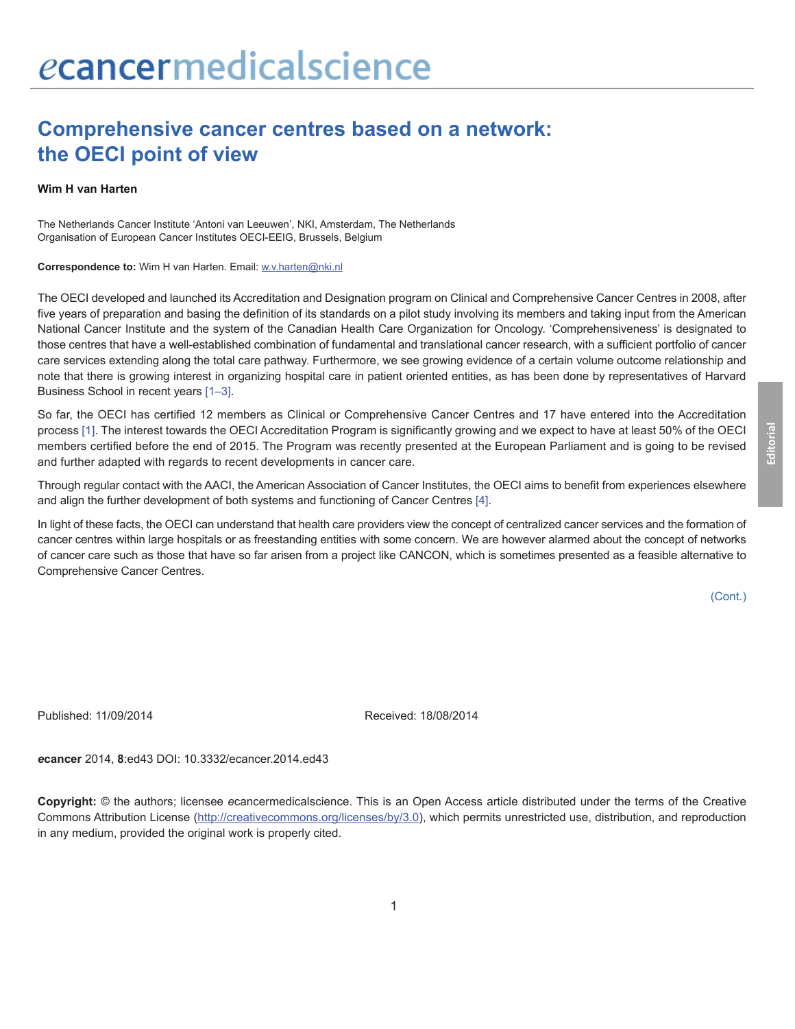## **Comprehensive cancer centres based on a network: the OECI point of view**

## **Wim H van Harten**

The Netherlands Cancer Institute 'Antoni van Leeuwen', NKI, Amsterdam, The Netherlands Organisation of European Cancer Institutes OECI-EEIG, Brussels, Belgium

**Correspondence to:** Wim H van Harten. Email: w.v.harten@nki.nl

The OECI developed and launched its Accreditation and Designation program on Clinical and Comprehensive Cancer Centres in 2008, after five years of preparation and basing the definition of its standards on a pilot study involving its members and taking input from the American National Cancer Institute and the system of the Canadian Health Care Organization for Oncology. 'Comprehensiveness' is designated to those centres that have a well-established combination of fundamental and translational cancer research, with a sufficient portfolio of cancer care services extending along the total care pathway. Furthermore, we see growing evidence of a certain volume outcome relationship and note that there is growing interest in organizing hospital care in patient oriented entities, as has been done by representatives of Harvard Business School in recent years [\[1–3\].](#page-1-0)

So far, the OECI has certified 12 members as Clinical or Comprehensive Cancer Centres and 17 have entered into the Accreditation process [\[1\]](#page-1-0). The interest towards the OECI Accreditation Program is significantly growing and we expect to have at least 50% of the OECI members certified before the end of 2015. The Program was recently presented at the European Parliament and is going to be revised and further adapted with regards to recent developments in cancer care.

Through regular contact with the AACI, the American Association of Cancer Institutes, the OECI aims to benefit from experiences elsewhere and align the further development of both systems and functioning of Cancer Centres [\[4\]](#page-1-0).

In light of these facts, the OECI can understand that health care providers view the concept of centralized cancer services and the formation of cancer centres within large hospitals or as freestanding entities with some concern. We are however alarmed about the concept of networks of cancer care such as those that have so far arisen from a project like CANCON, which is sometimes presented as a feasible alternative to Comprehensive Cancer Centres.

(Cont.)

Published: 11/09/2014 Received: 18/08/2014

*e***cancer** 2014, **8**:ed43 DOI: 10.3332/ecancer.2014.ed43

**Copyright:** © the authors; licensee *e*cancermedicalscience. This is an Open Access article distributed under the terms of the Creative Commons Attribution License (http://creativecommons.org/licenses/by/3.0), which permits unrestricted use, distribution, and reproduction in any medium, provided the original work is properly cited.